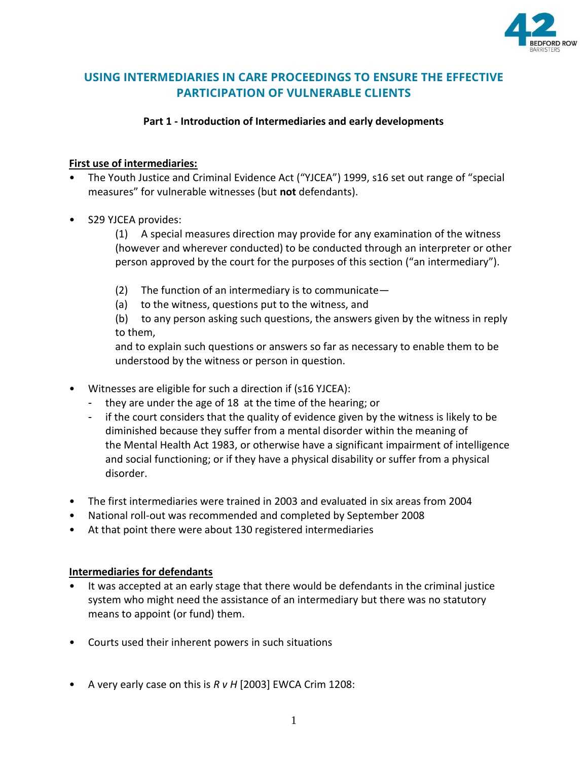

# **USING INTERMEDIARIES IN CARE PROCEEDINGS TO ENSURE THE EFFECTIVE PARTICIPATION OF VULNERABLE CLIENTS**

## **Part 1 - Introduction of Intermediaries and early developments**

## **First use of intermediaries:**

- The Youth Justice and Criminal Evidence Act ("YJCEA") 1999, s16 set out range of "special measures" for vulnerable witnesses (but **not** defendants).
- S29 YJCEA provides:

(1) A special measures direction may provide for any examination of the witness (however and wherever conducted) to be conducted through an interpreter or other person approved by the court for the purposes of this section ("an intermediary").

- (2) The function of an intermediary is to communicate  $-$
- (a) to the witness, questions put to the witness, and

(b) to any person asking such questions, the answers given by the witness in reply to them,

and to explain such questions or answers so far as necessary to enable them to be understood by the witness or person in question.

- Witnesses are eligible for such a direction if (s16 YJCEA):
	- they are under the age of 18 at the time of the hearing; or
	- if the court considers that the quality of evidence given by the witness is likely to be diminished because they suffer from a mental disorder within the meaning of the Mental Health Act 1983, or otherwise have a significant impairment of intelligence and social functioning; or if they have a physical disability or suffer from a physical disorder.
- The first intermediaries were trained in 2003 and evaluated in six areas from 2004
- National roll-out was recommended and completed by September 2008
- At that point there were about 130 registered intermediaries

## **Intermediaries for defendants**

- It was accepted at an early stage that there would be defendants in the criminal justice system who might need the assistance of an intermediary but there was no statutory means to appoint (or fund) them.
- Courts used their inherent powers in such situations
- A very early case on this is *R v H* [2003] EWCA Crim 1208: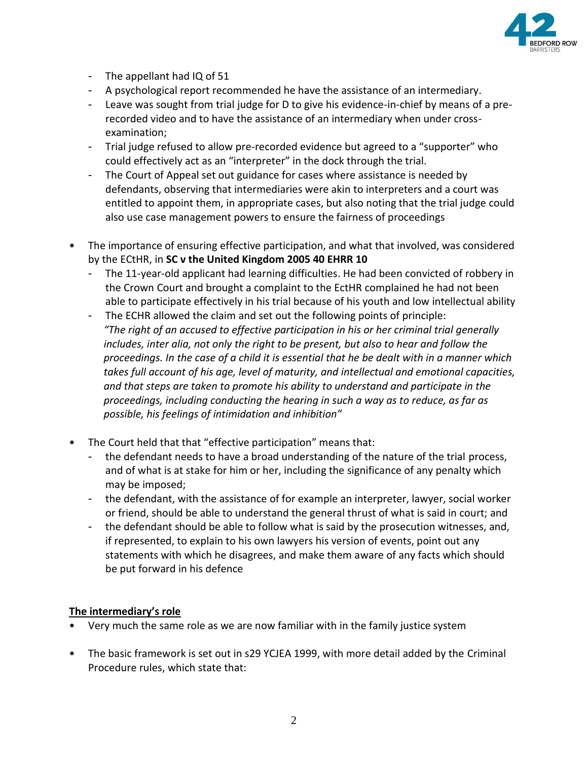

- The appellant had IQ of 51
- A psychological report recommended he have the assistance of an intermediary.
- Leave was sought from trial judge for D to give his evidence-in-chief by means of a prerecorded video and to have the assistance of an intermediary when under crossexamination;
- Trial judge refused to allow pre-recorded evidence but agreed to a "supporter" who could effectively act as an "interpreter" in the dock through the trial.
- The Court of Appeal set out guidance for cases where assistance is needed by defendants, observing that intermediaries were akin to interpreters and a court was entitled to appoint them, in appropriate cases, but also noting that the trial judge could also use case management powers to ensure the fairness of proceedings
- The importance of ensuring effective participation, and what that involved, was considered by the ECtHR, in **SC v the United Kingdom 2005 40 EHRR 10**
	- The 11-year-old applicant had learning difficulties. He had been convicted of robbery in the Crown Court and brought a complaint to the EctHR complained he had not been able to participate effectively in his trial because of his youth and low intellectual ability
	- The ECHR allowed the claim and set out the following points of principle: *"The right of an accused to effective participation in his or her criminal trial generally includes, inter alia, not only the right to be present, but also to hear and follow the proceedings. In the case of a child it is essential that he be dealt with in a manner which takes full account of his age, level of maturity, and intellectual and emotional capacities, and that steps are taken to promote his ability to understand and participate in the proceedings, including conducting the hearing in such a way as to reduce, as far as possible, his feelings of intimidation and inhibition"*
- The Court held that that "effective participation" means that:
	- the defendant needs to have a broad understanding of the nature of the trial process, and of what is at stake for him or her, including the significance of any penalty which may be imposed;
	- the defendant, with the assistance of for example an interpreter, lawyer, social worker or friend, should be able to understand the general thrust of what is said in court; and
	- the defendant should be able to follow what is said by the prosecution witnesses, and, if represented, to explain to his own lawyers his version of events, point out any statements with which he disagrees, and make them aware of any facts which should be put forward in his defence

#### **The intermediary's role**

- Very much the same role as we are now familiar with in the family justice system
- The basic framework is set out in s29 YCJEA 1999, with more detail added by the Criminal Procedure rules, which state that: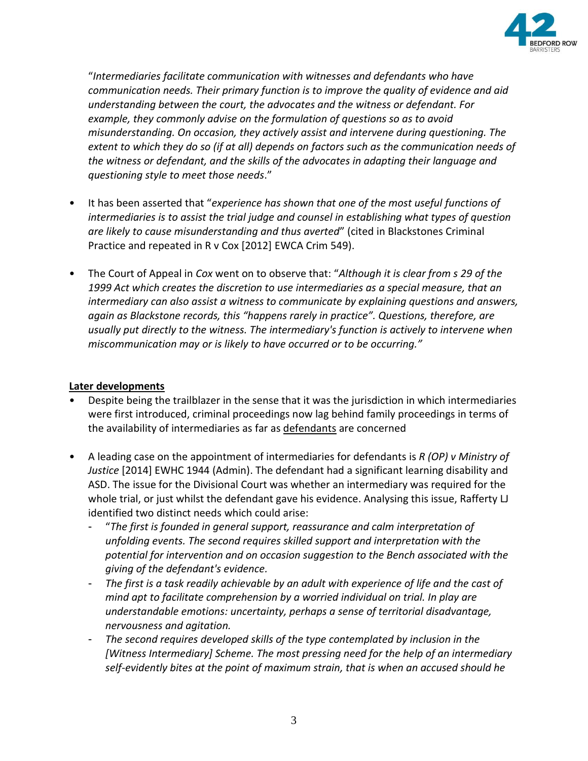

"*Intermediaries facilitate communication with witnesses and defendants who have communication needs. Their primary function is to improve the quality of evidence and aid understanding between the court, the advocates and the witness or defendant. For example, they commonly advise on the formulation of questions so as to avoid misunderstanding. On occasion, they actively assist and intervene during questioning. The extent to which they do so (if at all) depends on factors such as the communication needs of the witness or defendant, and the skills of the advocates in adapting their language and questioning style to meet those needs*."

- It has been asserted that "*experience has shown that one of the most useful functions of intermediaries is to assist the trial judge and counsel in establishing what types of question are likely to cause misunderstanding and thus averted*" (cited in Blackstones Criminal Practice and repeated in R v Cox [2012] EWCA Crim 549).
- The Court of Appeal in *Cox* went on to observe that: "*Although it is clear from s 29 of the 1999 Act which creates the discretion to use intermediaries as a special measure, that an intermediary can also assist a witness to communicate by explaining questions and answers, again as Blackstone records, this "happens rarely in practice". Questions, therefore, are usually put directly to the witness. The intermediary's function is actively to intervene when miscommunication may or is likely to have occurred or to be occurring."*

### **Later developments**

- Despite being the trailblazer in the sense that it was the jurisdiction in which intermediaries were first introduced, criminal proceedings now lag behind family proceedings in terms of the availability of intermediaries as far as defendants are concerned
- A leading case on the appointment of intermediaries for defendants is *R (OP) v Ministry of Justice* [2014] EWHC 1944 (Admin). The defendant had a significant learning disability and ASD. The issue for the Divisional Court was whether an intermediary was required for the whole trial, or just whilst the defendant gave his evidence. Analysing this issue, Rafferty LJ identified two distinct needs which could arise:
	- "*The first is founded in general support, reassurance and calm interpretation of unfolding events. The second requires skilled support and interpretation with the potential for intervention and on occasion suggestion to the Bench associated with the giving of the defendant's evidence.*
	- *The first is a task readily achievable by an adult with experience of life and the cast of mind apt to facilitate comprehension by a worried individual on trial. In play are understandable emotions: uncertainty, perhaps a sense of territorial disadvantage, nervousness and agitation.*
	- *The second requires developed skills of the type contemplated by inclusion in the [Witness Intermediary] Scheme. The most pressing need for the help of an intermediary self-evidently bites at the point of maximum strain, that is when an accused should he*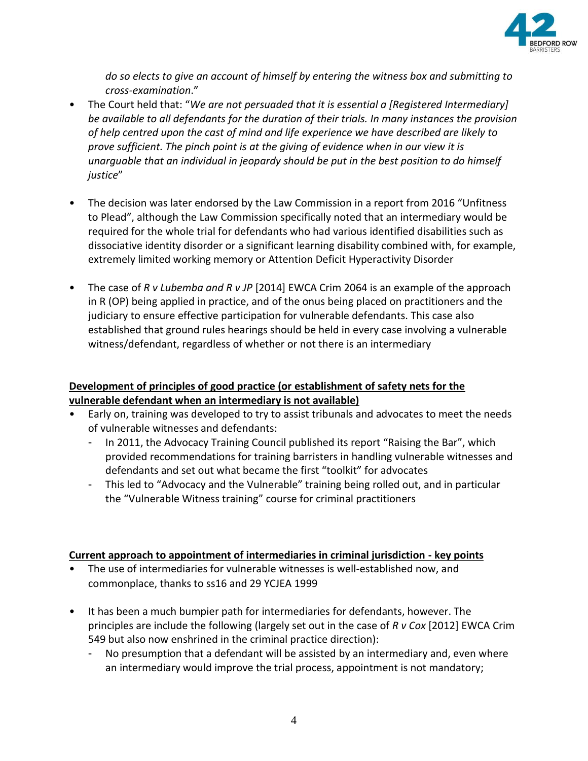

*do so elects to give an account of himself by entering the witness box and submitting to cross-examination*."

- The Court held that: "*We are not persuaded that it is essential a [Registered Intermediary] be available to all defendants for the duration of their trials. In many instances the provision of help centred upon the cast of mind and life experience we have described are likely to prove sufficient. The pinch point is at the giving of evidence when in our view it is unarguable that an individual in jeopardy should be put in the best position to do himself justice*"
- The decision was later endorsed by the Law Commission in a report from 2016 "Unfitness" to Plead", although the Law Commission specifically noted that an intermediary would be required for the whole trial for defendants who had various identified disabilities such as dissociative identity disorder or a significant learning disability combined with, for example, extremely limited working memory or Attention Deficit Hyperactivity Disorder
- The case of *R v Lubemba and R v JP* [2014] EWCA Crim 2064 is an example of the approach in R (OP) being applied in practice, and of the onus being placed on practitioners and the judiciary to ensure effective participation for vulnerable defendants. This case also established that ground rules hearings should be held in every case involving a vulnerable witness/defendant, regardless of whether or not there is an intermediary

## **Development of principles of good practice (or establishment of safety nets for the vulnerable defendant when an intermediary is not available)**

- Early on, training was developed to try to assist tribunals and advocates to meet the needs of vulnerable witnesses and defendants:
	- In 2011, the Advocacy Training Council published its report "Raising the Bar", which provided recommendations for training barristers in handling vulnerable witnesses and defendants and set out what became the first "toolkit" for advocates
	- This led to "Advocacy and the Vulnerable" training being rolled out, and in particular the "Vulnerable Witness training" course for criminal practitioners

## **Current approach to appointment of intermediaries in criminal jurisdiction - key points**

- The use of intermediaries for vulnerable witnesses is well-established now, and commonplace, thanks to ss16 and 29 YCJEA 1999
- It has been a much bumpier path for intermediaries for defendants, however. The principles are include the following (largely set out in the case of *R v Cox* [2012] EWCA Crim 549 but also now enshrined in the criminal practice direction):
	- No presumption that a defendant will be assisted by an intermediary and, even where an intermediary would improve the trial process, appointment is not mandatory;